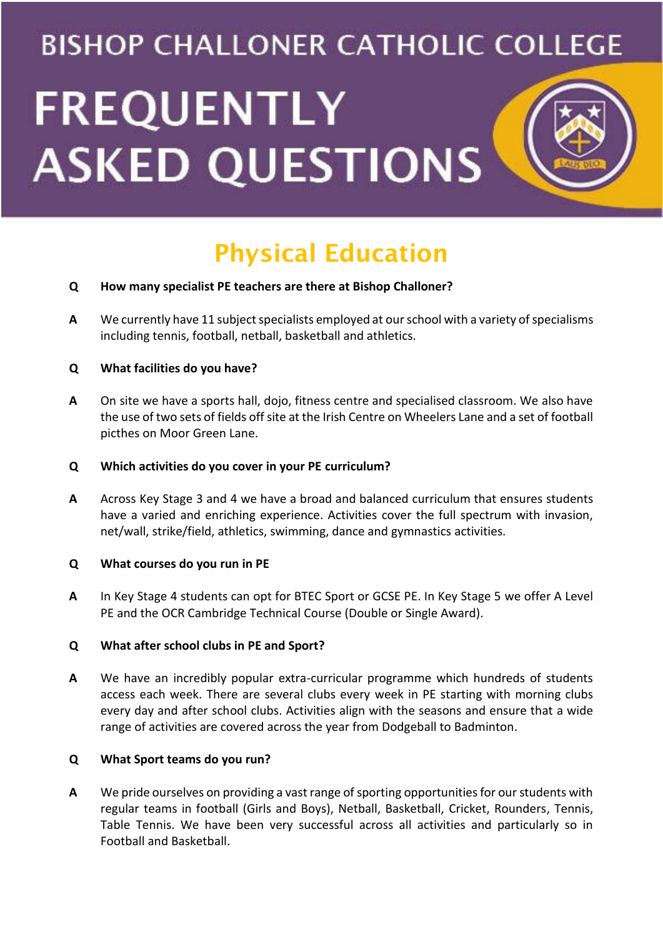# **BISHOP CHALLONER CATHOLIC COLLEGE FREQUENTLY ASKED QUESTIONS**

# Physical Education

# **Q How many specialist PE teachers are there at Bishop Challoner?**

**A** We currently have 11 subject specialists employed at our school with a variety of specialisms including tennis, football, netball, basketball and athletics.

# **Q What facilities do you have?**

**A** On site we have a sports hall, dojo, fitness centre and specialised classroom. We also have the use of two sets of fields off site at the Irish Centre on Wheelers Lane and a set of football picthes on Moor Green Lane.

# **Q Which activities do you cover in your PE curriculum?**

**A** Across Key Stage 3 and 4 we have a broad and balanced curriculum that ensures students have a varied and enriching experience. Activities cover the full spectrum with invasion, net/wall, strike/field, athletics, swimming, dance and gymnastics activities.

#### **Q What courses do you run in PE**

**A** In Key Stage 4 students can opt for BTEC Sport or GCSE PE. In Key Stage 5 we offer A Level PE and the OCR Cambridge Technical Course (Double or Single Award).

#### **Q What after school clubs in PE and Sport?**

**A** We have an incredibly popular extra-curricular programme which hundreds of students access each week. There are several clubs every week in PE starting with morning clubs every day and after school clubs. Activities align with the seasons and ensure that a wide range of activities are covered across the year from Dodgeball to Badminton.

# **Q What Sport teams do you run?**

**A** We pride ourselves on providing a vast range of sporting opportunities for our students with regular teams in football (Girls and Boys), Netball, Basketball, Cricket, Rounders, Tennis, Table Tennis. We have been very successful across all activities and particularly so in Football and Basketball.